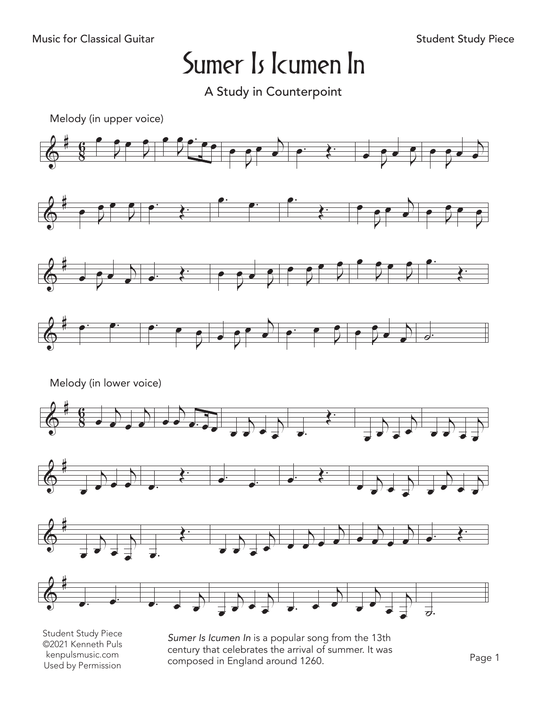A Study in Counterpoint



Student Study Piece ©2021 Kenneth Puls kenpulsmusic.com Used by Permission

*Sumer Is Icumen In* is a popular song from the 13th century that celebrates the arrival of summer. It was composed in England around 1260.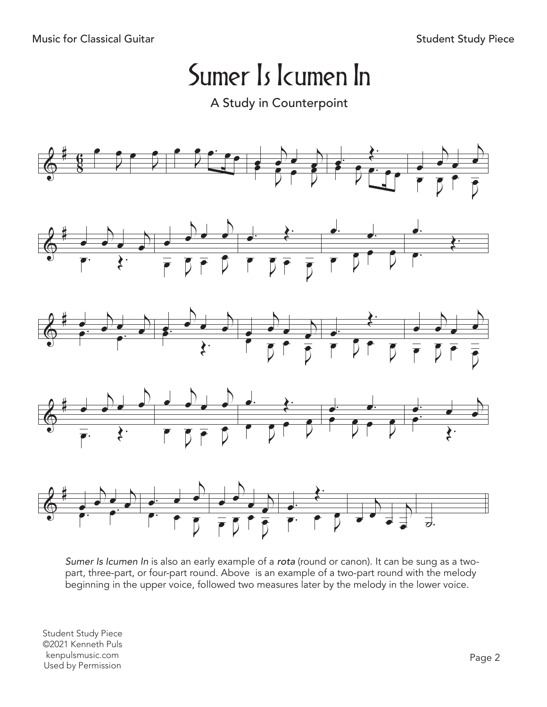A Study in Counterpoint



*Sumer Is Icumen In* is also an early example of a *rota* (round or canon). It can be sung as a twopart, three-part, or four-part round. Above is an example of a two-part round with the melody beginning in the upper voice, followed two measures later by the melody in the lower voice.

Student Study Piece ©2021 Kenneth Puls kenpulsmusic.com kenpulsmusic.com<br>Used by Permission Page 2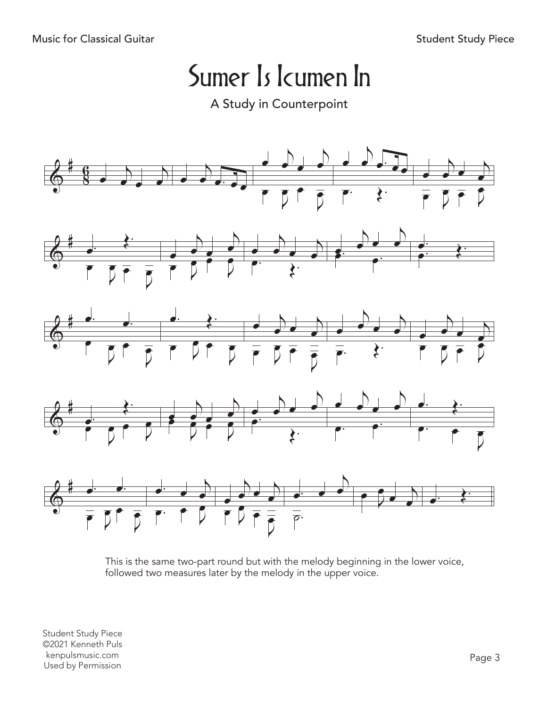A Study in Counterpoint



This is the same two-part round but with the melody beginning in the lower voice, followed two measures later by the melody in the upper voice.

Student Study Piece ©2021 Kenneth Puls kenpulsmusic.com kenpulsmusic.com<br>Used by Permission Page 3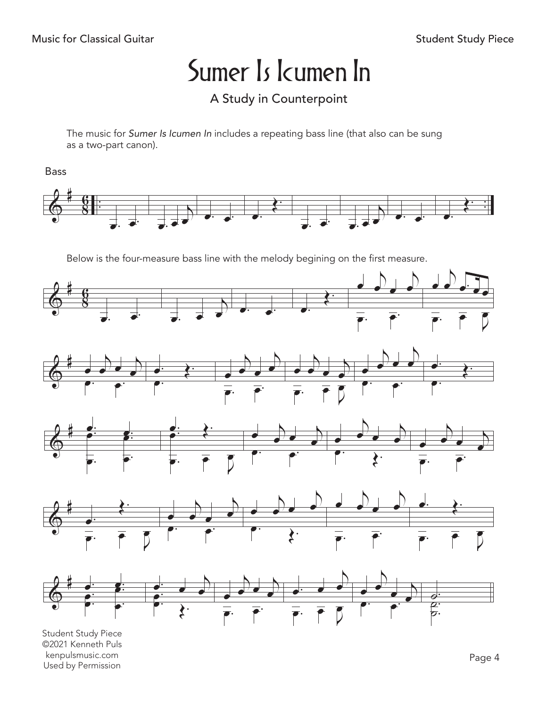### A Study in Counterpoint

The music for Sumer Is Icumen In includes a repeating bass line (that also can be sung as a two-part canon).

**Bass** 



Below is the four-measure bass line with the melody begining on the first measure.



**Student Study Piece** ©2021 Kenneth Puls kenpulsmusic.com Used by Permission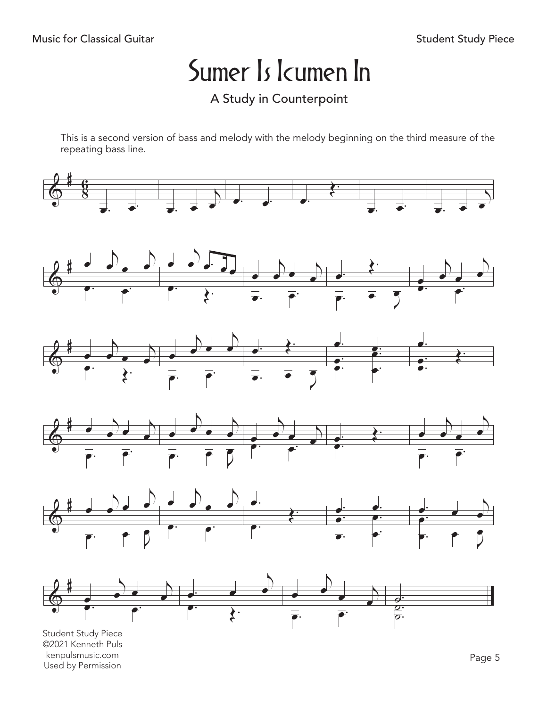### A Study in Counterpoint

This is a second version of bass and melody with the melody beginning on the third measure of the repeating bass line.













Student Study Piece ©2021 Kenneth Puls kenpulsmusic.com kenpulsmusic.com<br>Used by Permission Page 5